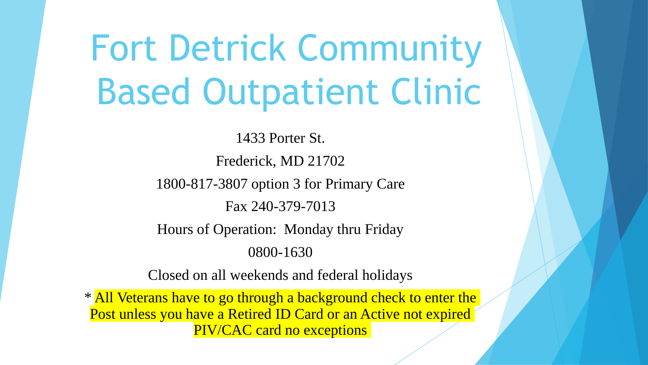# Fort Detrick Community Based Outpatient Clinic

1433 Porter St. Frederick, MD 21702 1800-817-3807 option 3 for Primary Care Fax 240-379-7013 Hours of Operation: Monday thru Friday 0800-1630

Closed on all weekends and federal holidays

\* All Veterans have to go through a background check to enter the Post unless you have a Retired ID Card or an Active not expired PIV/CAC card no exceptions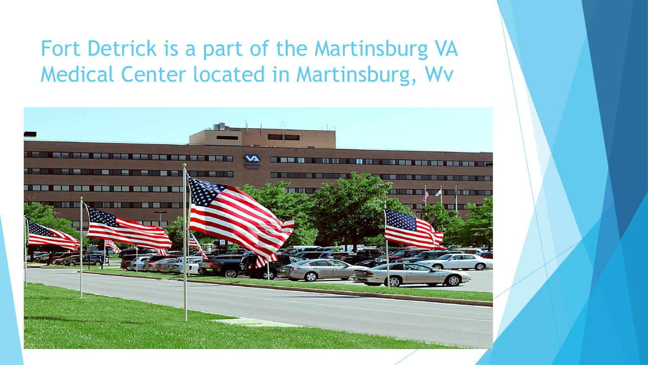### Fort Detrick is a part of the Martinsburg VA Medical Center located in Martinsburg, Wv

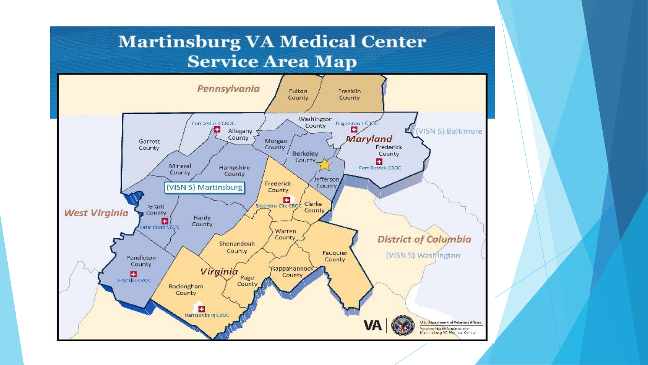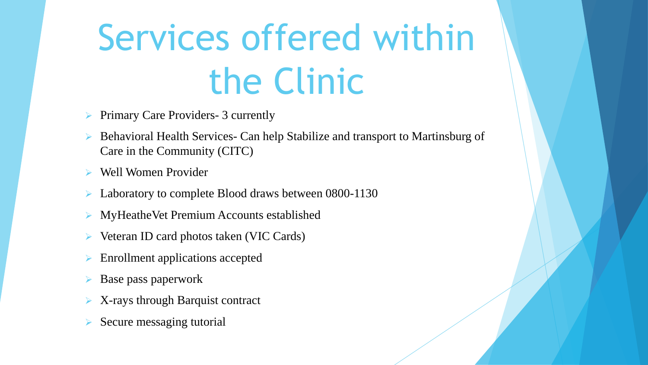# Services offered within the Clinic

- Primary Care Providers- 3 currently
- Behavioral Health Services- Can help Stabilize and transport to Martinsburg of Care in the Community (CITC)
- Well Women Provider
- Laboratory to complete Blood draws between 0800-1130
- MyHeatheVet Premium Accounts established
- Veteran ID card photos taken (VIC Cards)
- Enrollment applications accepted
- Base pass paperwork
- X-rays through Barquist contract
- Secure messaging tutorial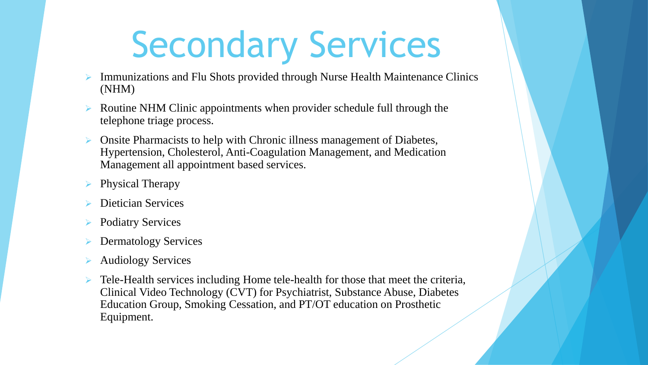# Secondary Services

- Immunizations and Flu Shots provided through Nurse Health Maintenance Clinics (NHM)
- Routine NHM Clinic appointments when provider schedule full through the telephone triage process.
- Onsite Pharmacists to help with Chronic illness management of Diabetes, Hypertension, Cholesterol, Anti-Coagulation Management, and Medication Management all appointment based services.
- Physical Therapy
- Dietician Services
- Podiatry Services
- Dermatology Services
- Audiology Services
- Tele-Health services including Home tele-health for those that meet the criteria, Clinical Video Technology (CVT) for Psychiatrist, Substance Abuse, Diabetes Education Group, Smoking Cessation, and PT/OT education on Prosthetic Equipment.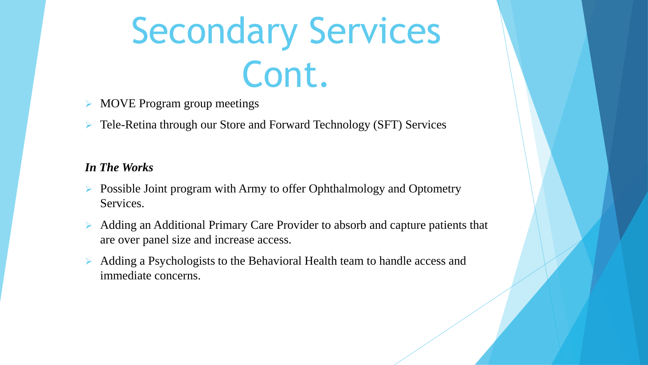# Secondary Services Cont.

- MOVE Program group meetings
- Tele-Retina through our Store and Forward Technology (SFT) Services

#### *In The Works*

- $\triangleright$  Possible Joint program with Army to offer Ophthalmology and Optometry Services.
- Adding an Additional Primary Care Provider to absorb and capture patients that are over panel size and increase access.
- Adding a Psychologists to the Behavioral Health team to handle access and immediate concerns.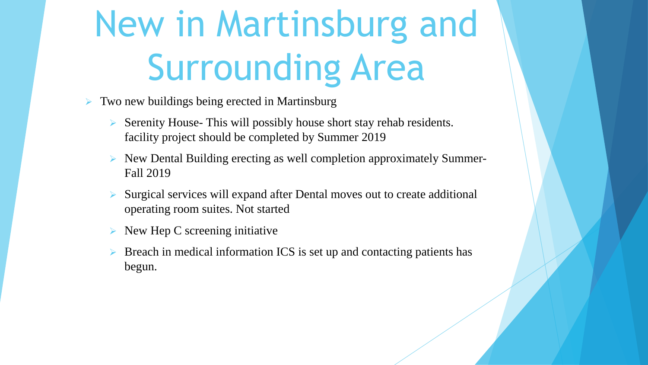# New in Martinsburg and Surrounding Area

- Two new buildings being erected in Martinsburg
	- $\triangleright$  Serenity House- This will possibly house short stay rehab residents. facility project should be completed by Summer 2019
	- $\triangleright$  New Dental Building erecting as well completion approximately Summer-Fall 2019
	- Surgical services will expand after Dental moves out to create additional operating room suites. Not started
	- $\triangleright$  New Hep C screening initiative
	- Breach in medical information ICS is set up and contacting patients has begun.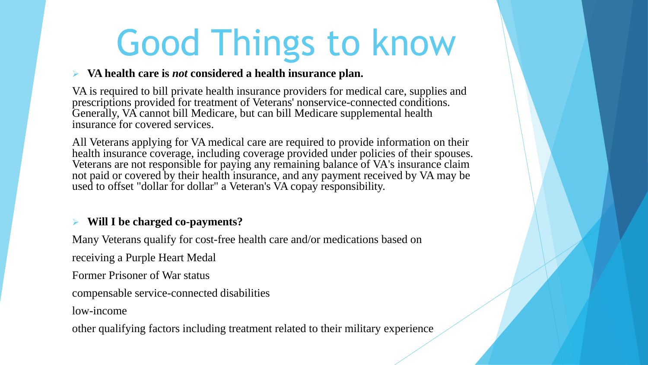# Good Things to know

#### **VA health care is** *not* **considered a health insurance plan.**

VA is required to bill private health insurance providers for medical care, supplies and prescriptions provided for treatment of Veterans' nonservice-connected conditions. Generally, VA cannot bill Medicare, but can bill Medicare supplemental health insurance for covered services.

All Veterans applying for VA medical care are required to provide information on their health insurance coverage, including coverage provided under policies of their spouses. Veterans are not responsible for paying any remaining balance of VA's insurance claim not paid or covered by their health insurance, and any payment received by VA may be used to offset "dollar for dollar" a Veteran's VA copay responsibility.

#### **Will I be charged co-payments?**

Many Veterans qualify for cost-free health care and/or medications based on

receiving a Purple Heart Medal

Former Prisoner of War status

compensable service-connected disabilities

low-income

other qualifying factors including treatment related to their military experience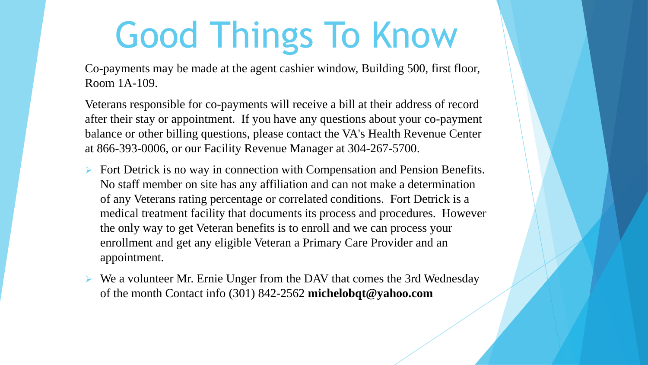# Good Things To Know

Co-payments may be made at the agent cashier window, Building 500, first floor, Room 1A-109.

Veterans responsible for co-payments will receive a bill at their address of record after their stay or appointment. If you have any questions about your co-payment balance or other billing questions, please contact the VA's Health Revenue Center at 866-393-0006, or our Facility Revenue Manager at 304-267-5700.

- $\triangleright$  Fort Detrick is no way in connection with Compensation and Pension Benefits. No staff member on site has any affiliation and can not make a determination of any Veterans rating percentage or correlated conditions. Fort Detrick is a medical treatment facility that documents its process and procedures. However the only way to get Veteran benefits is to enroll and we can process your enrollment and get any eligible Veteran a Primary Care Provider and an appointment.
- $\triangleright$  We a volunteer Mr. Ernie Unger from the DAV that comes the 3rd Wednesday of the month Contact info (301) 842-2562 **michelobqt@yahoo.com**